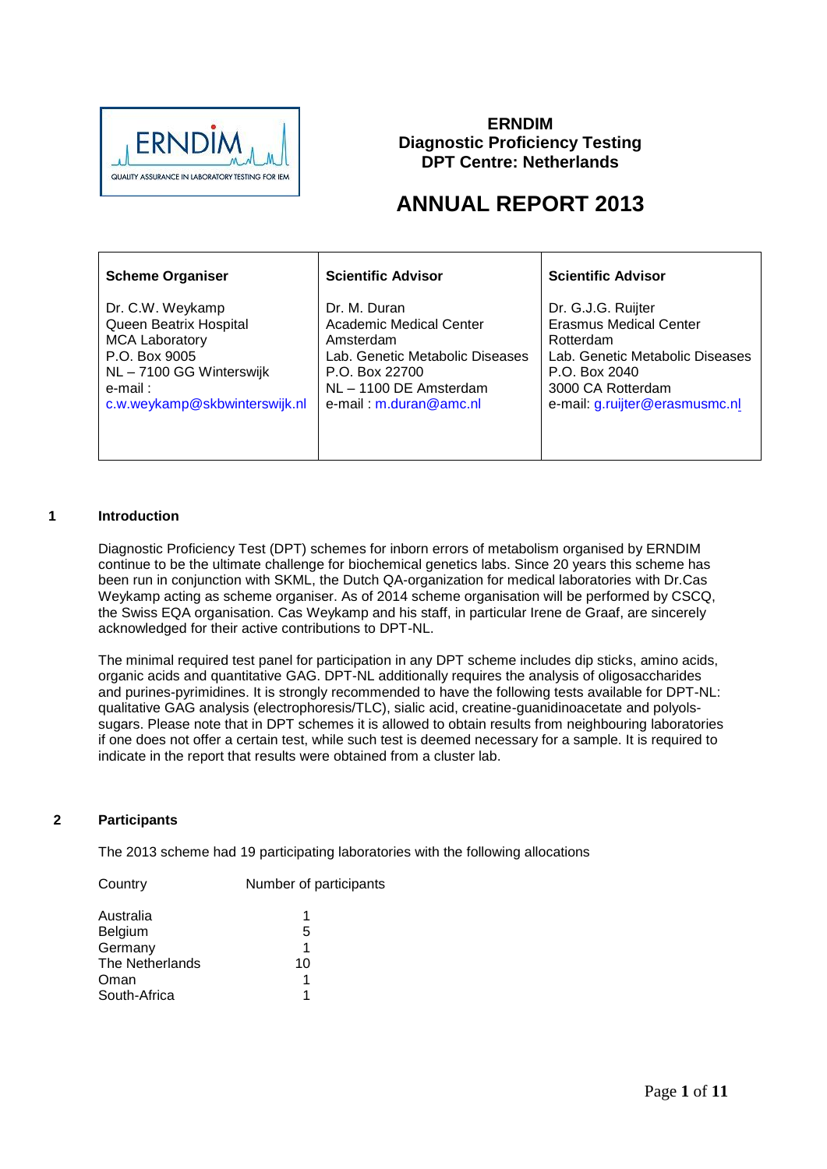

### **ERNDIM Diagnostic Proficiency Testing DPT Centre: Netherlands**

# **ANNUAL REPORT 2013**

| <b>Scheme Organiser</b>       | <b>Scientific Advisor</b>       | <b>Scientific Advisor</b>       |
|-------------------------------|---------------------------------|---------------------------------|
| Dr. C.W. Weykamp              | Dr. M. Duran                    | Dr. G.J.G. Ruijter              |
| Queen Beatrix Hospital        | <b>Academic Medical Center</b>  | Erasmus Medical Center          |
| <b>MCA Laboratory</b>         | Amsterdam                       | Rotterdam                       |
| P.O. Box 9005                 | Lab. Genetic Metabolic Diseases | Lab. Genetic Metabolic Diseases |
| NL - 7100 GG Winterswijk      | P.O. Box 22700                  | P.O. Box 2040                   |
| e-mail:                       | NL - 1100 DE Amsterdam          | 3000 CA Rotterdam               |
| c.w.weykamp@skbwinterswijk.nl | e-mail: m.duran@amc.nl          | e-mail: g.ruijter@erasmusmc.nl  |

### **1 Introduction**

Diagnostic Proficiency Test (DPT) schemes for inborn errors of metabolism organised by ERNDIM continue to be the ultimate challenge for biochemical genetics labs. Since 20 years this scheme has been run in conjunction with SKML, the Dutch QA-organization for medical laboratories with Dr.Cas Weykamp acting as scheme organiser. As of 2014 scheme organisation will be performed by CSCQ, the Swiss EQA organisation. Cas Weykamp and his staff, in particular Irene de Graaf, are sincerely acknowledged for their active contributions to DPT-NL.

The minimal required test panel for participation in any DPT scheme includes dip sticks, amino acids, organic acids and quantitative GAG. DPT-NL additionally requires the analysis of oligosaccharides and purines-pyrimidines. It is strongly recommended to have the following tests available for DPT-NL: qualitative GAG analysis (electrophoresis/TLC), sialic acid, creatine-guanidinoacetate and polyolssugars. Please note that in DPT schemes it is allowed to obtain results from neighbouring laboratories if one does not offer a certain test, while such test is deemed necessary for a sample. It is required to indicate in the report that results were obtained from a cluster lab.

#### **2 Participants**

The 2013 scheme had 19 participating laboratories with the following allocations

| Country         | Number of participants |
|-----------------|------------------------|
| Australia       | 1                      |
| Belgium         | 5                      |
| Germany         | 1                      |
| The Netherlands | 10                     |
| Oman            | 1                      |
| South-Africa    | 1                      |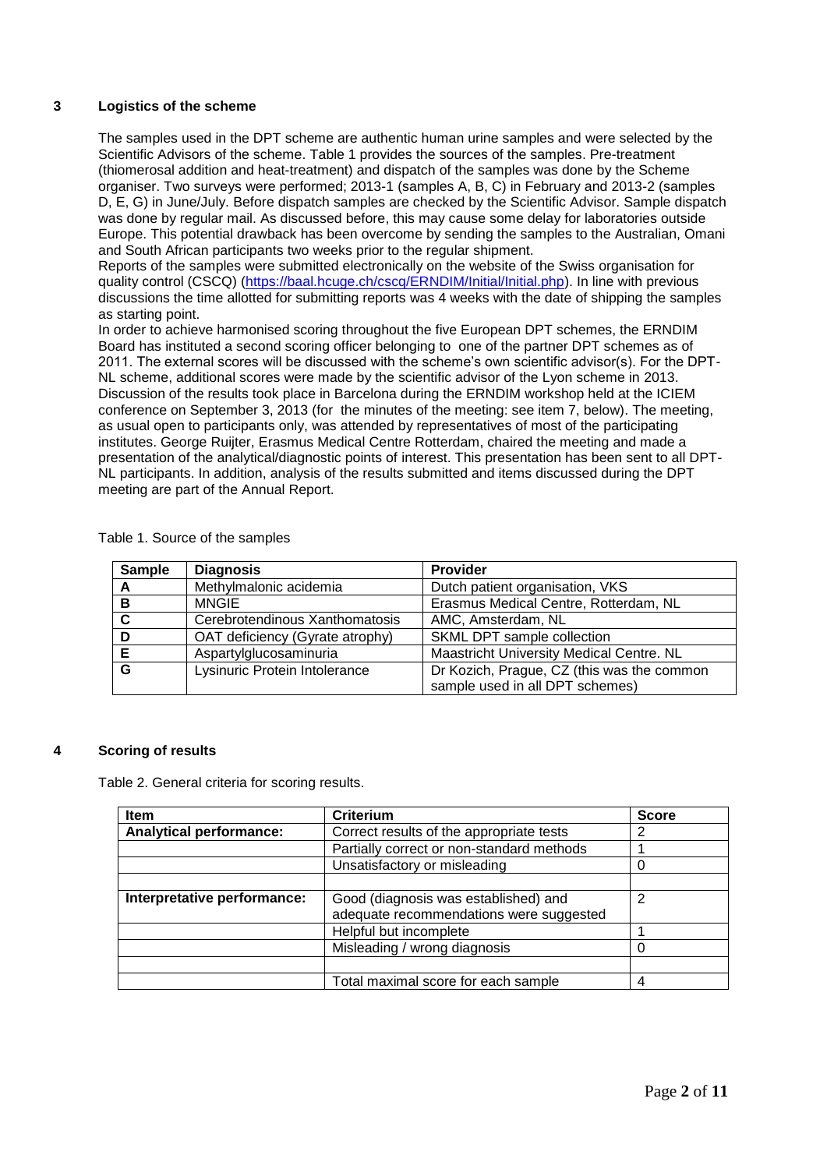### **3 Logistics of the scheme**

The samples used in the DPT scheme are authentic human urine samples and were selected by the Scientific Advisors of the scheme. Table 1 provides the sources of the samples. Pre-treatment (thiomerosal addition and heat-treatment) and dispatch of the samples was done by the Scheme organiser. Two surveys were performed; 2013-1 (samples A, B, C) in February and 2013-2 (samples D, E, G) in June/July. Before dispatch samples are checked by the Scientific Advisor. Sample dispatch was done by regular mail. As discussed before, this may cause some delay for laboratories outside Europe. This potential drawback has been overcome by sending the samples to the Australian, Omani and South African participants two weeks prior to the regular shipment.

Reports of the samples were submitted electronically on the website of the Swiss organisation for quality control (CSCQ) [\(https://baal.hcuge.ch/cscq/ERNDIM/Initial/Initial.php\)](https://baal.hcuge.ch/cscq/ERNDIM/Initial/Initial.php). In line with previous discussions the time allotted for submitting reports was 4 weeks with the date of shipping the samples as starting point.

In order to achieve harmonised scoring throughout the five European DPT schemes, the ERNDIM Board has instituted a second scoring officer belonging to one of the partner DPT schemes as of 2011. The external scores will be discussed with the scheme's own scientific advisor(s). For the DPT-NL scheme, additional scores were made by the scientific advisor of the Lyon scheme in 2013. Discussion of the results took place in Barcelona during the ERNDIM workshop held at the ICIEM conference on September 3, 2013 (for the minutes of the meeting: see item 7, below). The meeting, as usual open to participants only, was attended by representatives of most of the participating institutes. George Ruijter, Erasmus Medical Centre Rotterdam, chaired the meeting and made a presentation of the analytical/diagnostic points of interest. This presentation has been sent to all DPT-NL participants. In addition, analysis of the results submitted and items discussed during the DPT meeting are part of the Annual Report.

| <b>Sample</b> | <b>Diagnosis</b>                | <b>Provider</b>                            |
|---------------|---------------------------------|--------------------------------------------|
| A             | Methylmalonic acidemia          | Dutch patient organisation, VKS            |
| в             | <b>MNGIE</b>                    | Erasmus Medical Centre, Rotterdam, NL      |
| $\mathbf c$   | Cerebrotendinous Xanthomatosis  | AMC, Amsterdam, NL                         |
| D             | OAT deficiency (Gyrate atrophy) | SKML DPT sample collection                 |
| Е             | Aspartylglucosaminuria          | Maastricht University Medical Centre. NL   |
| G             | Lysinuric Protein Intolerance   | Dr Kozich, Prague, CZ (this was the common |
|               |                                 | sample used in all DPT schemes)            |

Table 1. Source of the samples

#### **4 Scoring of results**

Table 2. General criteria for scoring results.

| <b>Item</b>                    | <b>Criterium</b>                          | <b>Score</b> |
|--------------------------------|-------------------------------------------|--------------|
| <b>Analytical performance:</b> | Correct results of the appropriate tests  | 2            |
|                                | Partially correct or non-standard methods |              |
|                                | Unsatisfactory or misleading              |              |
|                                |                                           |              |
| Interpretative performance:    | Good (diagnosis was established) and      | 2            |
|                                | adequate recommendations were suggested   |              |
|                                | Helpful but incomplete                    |              |
|                                | Misleading / wrong diagnosis              |              |
|                                |                                           |              |
|                                | Total maximal score for each sample       |              |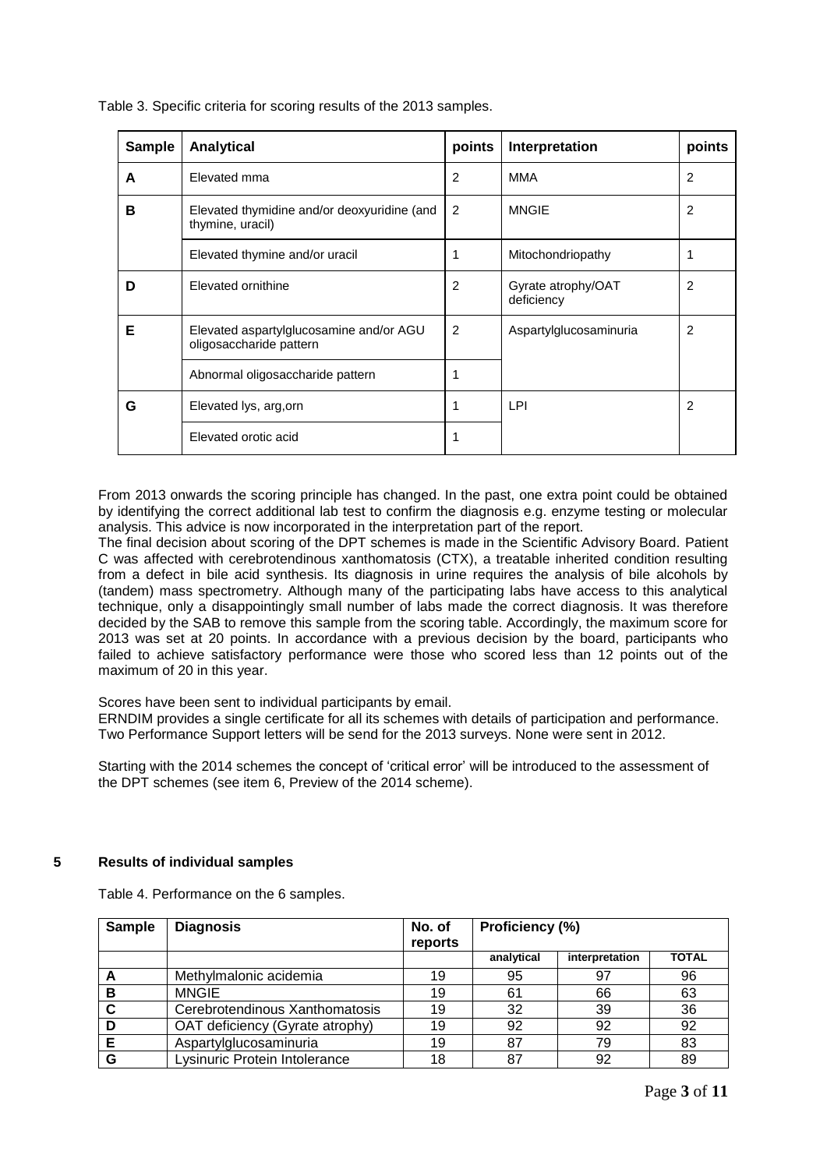| <b>Sample</b> | Analytical                                                         | points         | Interpretation                   | points |
|---------------|--------------------------------------------------------------------|----------------|----------------------------------|--------|
| A             | Elevated mma                                                       | 2              | <b>MMA</b>                       | 2      |
| в             | Elevated thymidine and/or deoxyuridine (and<br>thymine, uracil)    | 2              | <b>MNGIE</b>                     | 2      |
|               | Elevated thymine and/or uracil                                     | 1              | Mitochondriopathy                |        |
| D             | Elevated ornithine                                                 | 2              | Gyrate atrophy/OAT<br>deficiency | 2      |
| Е             | Elevated aspartylglucosamine and/or AGU<br>oligosaccharide pattern | $\overline{2}$ | Aspartylglucosaminuria           | 2      |
|               | Abnormal oligosaccharide pattern                                   | 1              |                                  |        |
| G             | Elevated lys, arg, orn                                             | 1              | LPI                              | 2      |
|               | Elevated orotic acid                                               | 1              |                                  |        |

Table 3. Specific criteria for scoring results of the 2013 samples.

From 2013 onwards the scoring principle has changed. In the past, one extra point could be obtained by identifying the correct additional lab test to confirm the diagnosis e.g. enzyme testing or molecular analysis. This advice is now incorporated in the interpretation part of the report.

The final decision about scoring of the DPT schemes is made in the Scientific Advisory Board. Patient C was affected with cerebrotendinous xanthomatosis (CTX), a treatable inherited condition resulting from a defect in bile acid synthesis. Its diagnosis in urine requires the analysis of bile alcohols by (tandem) mass spectrometry. Although many of the participating labs have access to this analytical technique, only a disappointingly small number of labs made the correct diagnosis. It was therefore decided by the SAB to remove this sample from the scoring table. Accordingly, the maximum score for 2013 was set at 20 points. In accordance with a previous decision by the board, participants who failed to achieve satisfactory performance were those who scored less than 12 points out of the maximum of 20 in this year.

Scores have been sent to individual participants by email.

ERNDIM provides a single certificate for all its schemes with details of participation and performance. Two Performance Support letters will be send for the 2013 surveys. None were sent in 2012.

Starting with the 2014 schemes the concept of 'critical error' will be introduced to the assessment of the DPT schemes (see item 6, Preview of the 2014 scheme).

#### **5 Results of individual samples**

Table 4. Performance on the 6 samples.

| <b>Sample</b> | <b>Diagnosis</b>                | No. of<br>reports | Proficiency (%) |                |              |
|---------------|---------------------------------|-------------------|-----------------|----------------|--------------|
|               |                                 |                   | analytical      | interpretation | <b>TOTAL</b> |
|               | Methylmalonic acidemia          | 19                | 95              | 97             | 96           |
| в             | <b>MNGIE</b>                    | 19                | 61              | 66             | 63           |
| C             | Cerebrotendinous Xanthomatosis  | 19                | 32              | 39             | 36           |
| D             | OAT deficiency (Gyrate atrophy) | 19                | 92              | 92             | 92           |
| Е             | Aspartylglucosaminuria          | 19                | 87              | 79             | 83           |
| G             | Lysinuric Protein Intolerance   | 18                | 87              | 92             | 89           |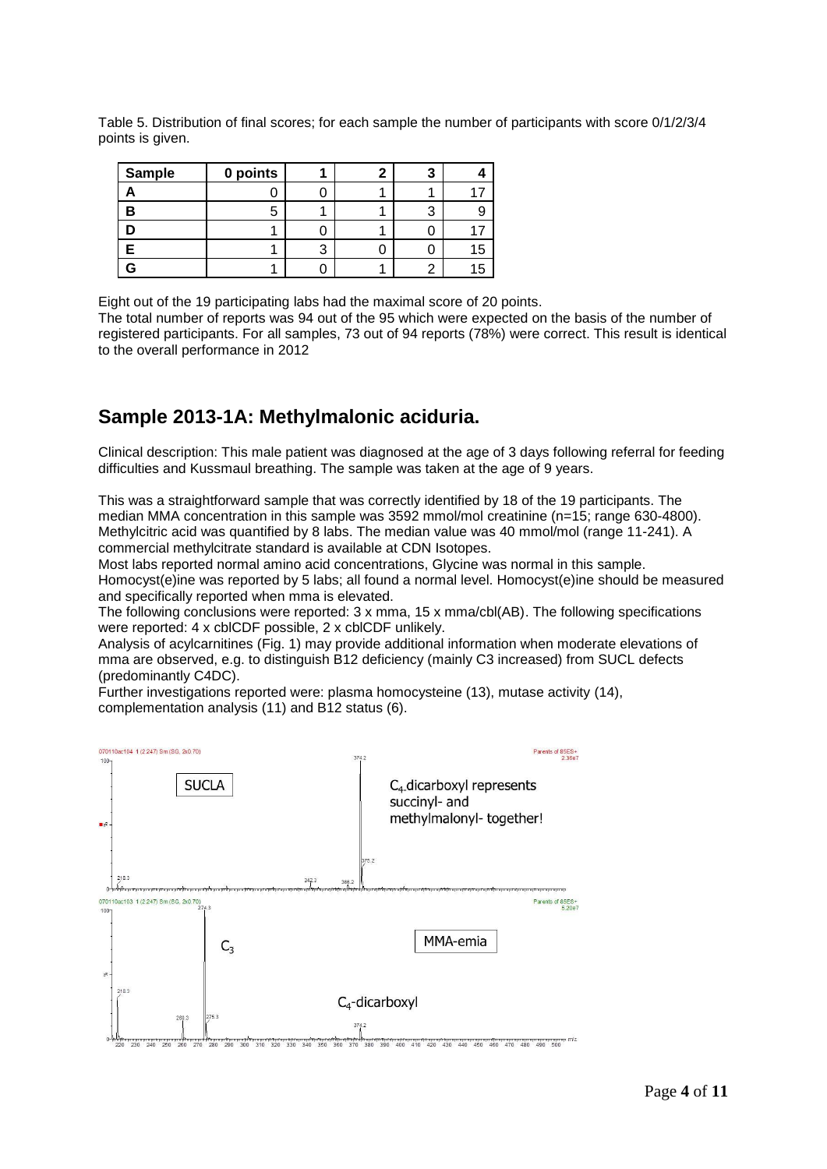Table 5. Distribution of final scores; for each sample the number of participants with score 0/1/2/3/4 points is given.

| <b>Sample</b> | 0 points |  |  |
|---------------|----------|--|--|
|               |          |  |  |
| в             |          |  |  |
|               |          |  |  |
|               |          |  |  |
|               |          |  |  |

Eight out of the 19 participating labs had the maximal score of 20 points.

The total number of reports was 94 out of the 95 which were expected on the basis of the number of registered participants. For all samples, 73 out of 94 reports (78%) were correct. This result is identical to the overall performance in 2012

### **Sample 2013-1A: Methylmalonic aciduria.**

Clinical description: This male patient was diagnosed at the age of 3 days following referral for feeding difficulties and Kussmaul breathing. The sample was taken at the age of 9 years.

This was a straightforward sample that was correctly identified by 18 of the 19 participants. The median MMA concentration in this sample was 3592 mmol/mol creatinine (n=15; range 630-4800). Methylcitric acid was quantified by 8 labs. The median value was 40 mmol/mol (range 11-241). A commercial methylcitrate standard is available at CDN Isotopes.

Most labs reported normal amino acid concentrations, Glycine was normal in this sample. Homocyst(e)ine was reported by 5 labs; all found a normal level. Homocyst(e)ine should be measured and specifically reported when mma is elevated.

The following conclusions were reported: 3 x mma, 15 x mma/cbl(AB). The following specifications were reported: 4 x cblCDF possible, 2 x cblCDF unlikely.

Analysis of acylcarnitines (Fig. 1) may provide additional information when moderate elevations of mma are observed, e.g. to distinguish B12 deficiency (mainly C3 increased) from SUCL defects (predominantly C4DC).

Further investigations reported were: plasma homocysteine (13), mutase activity (14), complementation analysis (11) and B12 status (6).

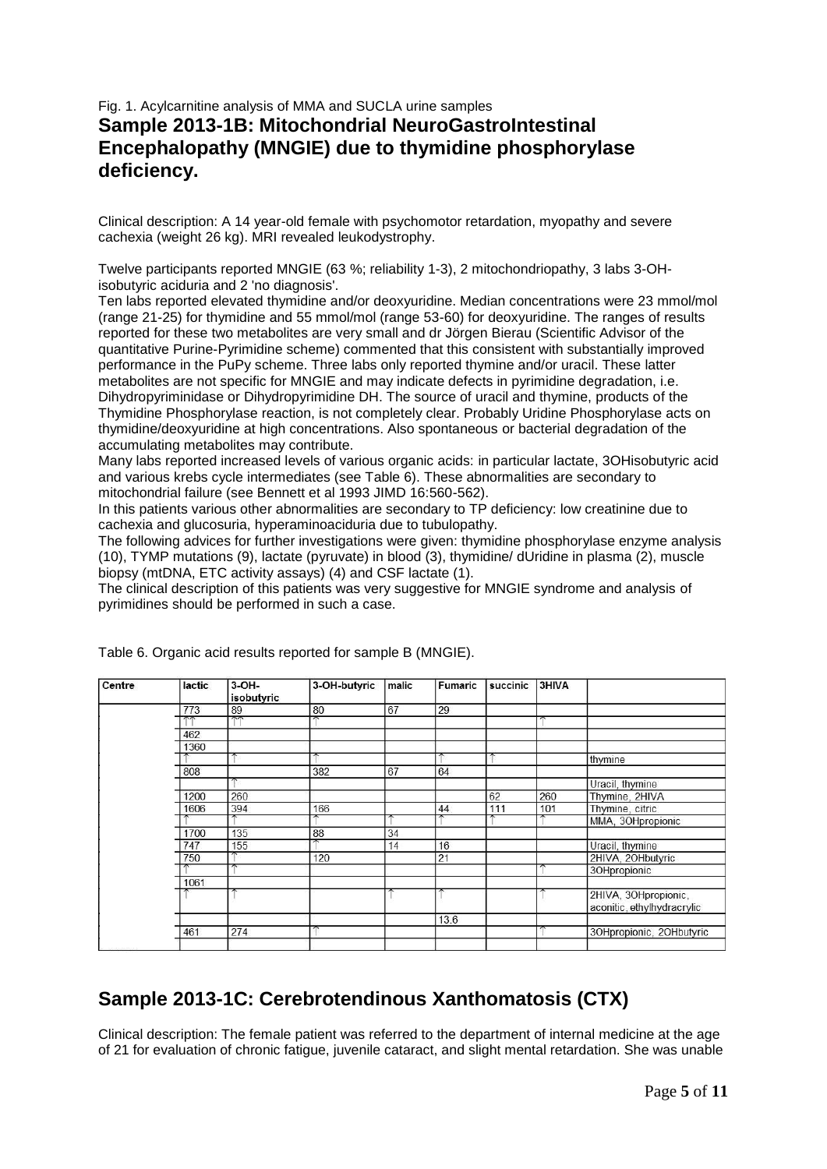### Fig. 1. Acylcarnitine analysis of MMA and SUCLA urine samples **Sample 2013-1B: Mitochondrial NeuroGastroIntestinal Encephalopathy (MNGIE) due to thymidine phosphorylase deficiency.**

Clinical description: A 14 year-old female with psychomotor retardation, myopathy and severe cachexia (weight 26 kg). MRI revealed leukodystrophy.

Twelve participants reported MNGIE (63 %; reliability 1-3), 2 mitochondriopathy, 3 labs 3-OHisobutyric aciduria and 2 'no diagnosis'.

Ten labs reported elevated thymidine and/or deoxyuridine. Median concentrations were 23 mmol/mol (range 21-25) for thymidine and 55 mmol/mol (range 53-60) for deoxyuridine. The ranges of results reported for these two metabolites are very small and dr Jörgen Bierau (Scientific Advisor of the quantitative Purine-Pyrimidine scheme) commented that this consistent with substantially improved performance in the PuPy scheme. Three labs only reported thymine and/or uracil. These latter metabolites are not specific for MNGIE and may indicate defects in pyrimidine degradation, i.e. Dihydropyriminidase or Dihydropyrimidine DH. The source of uracil and thymine, products of the Thymidine Phosphorylase reaction, is not completely clear. Probably Uridine Phosphorylase acts on thymidine/deoxyuridine at high concentrations. Also spontaneous or bacterial degradation of the accumulating metabolites may contribute.

Many labs reported increased levels of various organic acids: in particular lactate, 3OHisobutyric acid and various krebs cycle intermediates (see Table 6). These abnormalities are secondary to mitochondrial failure (see Bennett et al 1993 JIMD 16:560-562).

In this patients various other abnormalities are secondary to TP deficiency: low creatinine due to cachexia and glucosuria, hyperaminoaciduria due to tubulopathy.

The following advices for further investigations were given: thymidine phosphorylase enzyme analysis (10), TYMP mutations (9), lactate (pyruvate) in blood (3), thymidine/ dUridine in plasma (2), muscle biopsy (mtDNA, ETC activity assays) (4) and CSF lactate (1).

The clinical description of this patients was very suggestive for MNGIE syndrome and analysis of pyrimidines should be performed in such a case.

| Centre | lactic     | 3-OH-<br>isobutyric | 3-OH-butyric             | malic | Fumaric | succinic | 3HIVA |                                                    |
|--------|------------|---------------------|--------------------------|-------|---------|----------|-------|----------------------------------------------------|
|        | 773        | 89                  | 80                       | 67    | 29      |          |       |                                                    |
|        | $\sqrt{2}$ | $\overline{A}$      | $\overline{\phantom{a}}$ |       |         |          |       |                                                    |
|        | 462        |                     |                          |       |         |          |       |                                                    |
|        | 1360       |                     |                          |       |         |          |       |                                                    |
|        |            |                     |                          |       |         |          |       | thymine                                            |
|        | 808        |                     | 382                      | 67    | 64      |          |       |                                                    |
|        |            |                     |                          |       |         |          |       | Uracil, thymine                                    |
|        | 1200       | 260                 |                          |       |         | 62       | 260   | Thymine, 2HIVA                                     |
|        | 1606       | 394                 | 166                      |       | 44      | 111      | 101   | Thymine, citric                                    |
|        |            |                     |                          |       |         |          |       | MMA, 3OHpropionic                                  |
|        | 1700       | 135                 | 88                       | 34    |         |          |       |                                                    |
|        | 747        | 155                 |                          | 14    | 16      |          |       | Uracil, thymine                                    |
|        | 750        |                     | 120                      |       | 21      |          |       | 2HIVA, 2OHbutyric                                  |
|        |            |                     |                          |       |         |          |       | 3OHpropionic                                       |
|        | 1061       |                     |                          |       |         |          |       |                                                    |
|        |            |                     |                          |       |         |          |       | 2HIVA, 3OHpropionic,<br>aconitic, ethylhydracrylic |
|        |            |                     |                          |       | 13.6    |          |       |                                                    |
|        | 461        | 274                 |                          |       |         |          |       | 30Hpropionic, 20Hbutyric                           |

Table 6. Organic acid results reported for sample B (MNGIE).

## **Sample 2013-1C: Cerebrotendinous Xanthomatosis (CTX)**

Clinical description: The female patient was referred to the department of internal medicine at the age of 21 for evaluation of chronic fatigue, juvenile cataract, and slight mental retardation. She was unable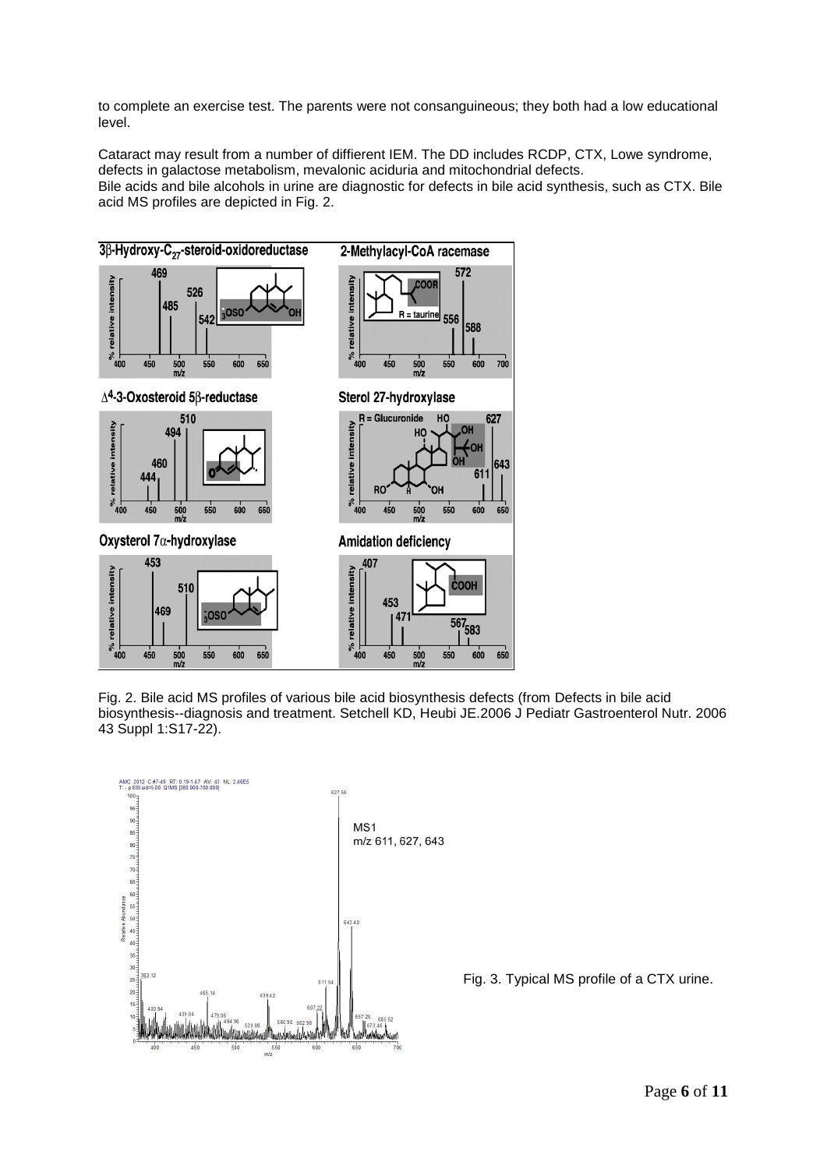to complete an exercise test. The parents were not consanguineous; they both had a low educational level.

Cataract may result from a number of diffierent IEM. The DD includes RCDP, CTX, Lowe syndrome, defects in galactose metabolism, mevalonic aciduria and mitochondrial defects. Bile acids and bile alcohols in urine are diagnostic for defects in bile acid synthesis, such as CTX. Bile acid MS profiles are depicted in Fig. 2.



Fig. 2. Bile acid MS profiles of various bile acid biosynthesis defects (from Defects in bile acid biosynthesis--diagnosis and treatment. Setchell KD, Heubi JE.2006 J Pediatr Gastroenterol Nutr. 2006 43 Suppl 1:S17-22).



Fig. 3. Typical MS profile of a CTX urine.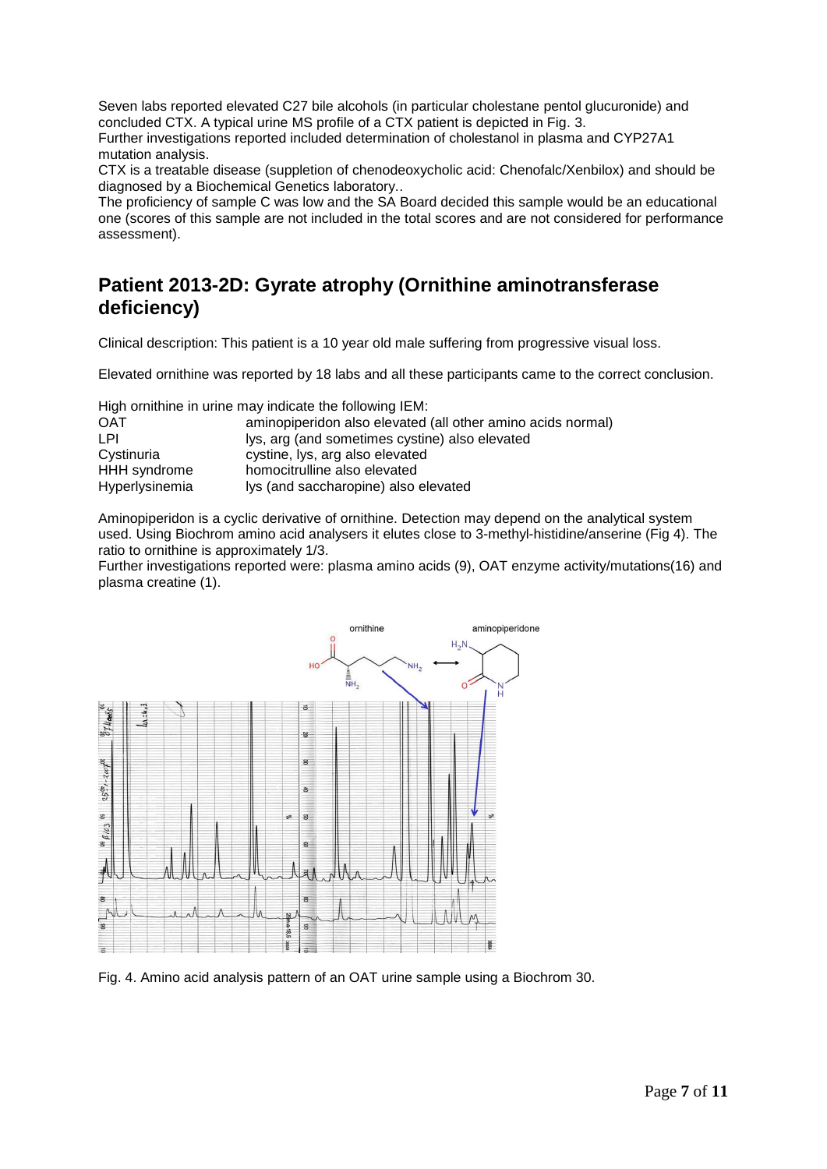Seven labs reported elevated C27 bile alcohols (in particular cholestane pentol glucuronide) and concluded CTX. A typical urine MS profile of a CTX patient is depicted in Fig. 3.

Further investigations reported included determination of cholestanol in plasma and CYP27A1 mutation analysis.

CTX is a treatable disease (suppletion of chenodeoxycholic acid: Chenofalc/Xenbilox) and should be diagnosed by a Biochemical Genetics laboratory..

The proficiency of sample C was low and the SA Board decided this sample would be an educational one (scores of this sample are not included in the total scores and are not considered for performance assessment).

## **Patient 2013-2D: Gyrate atrophy (Ornithine aminotransferase deficiency)**

Clinical description: This patient is a 10 year old male suffering from progressive visual loss.

Elevated ornithine was reported by 18 labs and all these participants came to the correct conclusion.

High ornithine in urine may indicate the following IEM:

| <b>OAT</b>     | aminopiperidon also elevated (all other amino acids normal) |
|----------------|-------------------------------------------------------------|
| LPI.           | lys, arg (and sometimes cystine) also elevated              |
| Cystinuria     | cystine, lys, arg also elevated                             |
| HHH syndrome   | homocitrulline also elevated                                |
| Hyperlysinemia | lys (and saccharopine) also elevated                        |

Aminopiperidon is a cyclic derivative of ornithine. Detection may depend on the analytical system used. Using Biochrom amino acid analysers it elutes close to 3-methyl-histidine/anserine (Fig 4). The ratio to ornithine is approximately 1/3.

Further investigations reported were: plasma amino acids (9), OAT enzyme activity/mutations(16) and plasma creatine (1).



Fig. 4. Amino acid analysis pattern of an OAT urine sample using a Biochrom 30.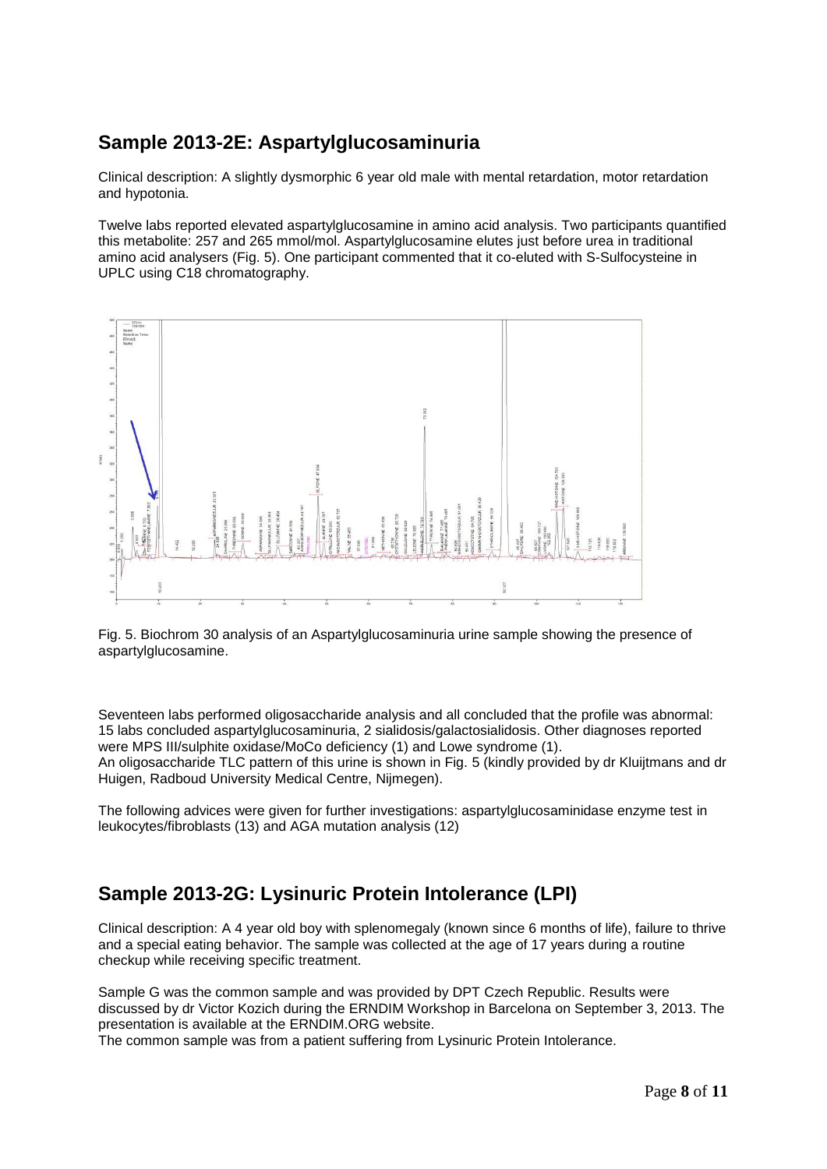### **Sample 2013-2E: Aspartylglucosaminuria**

Clinical description: A slightly dysmorphic 6 year old male with mental retardation, motor retardation and hypotonia.

Twelve labs reported elevated aspartylglucosamine in amino acid analysis. Two participants quantified this metabolite: 257 and 265 mmol/mol. Aspartylglucosamine elutes just before urea in traditional amino acid analysers (Fig. 5). One participant commented that it co-eluted with S-Sulfocysteine in UPLC using C18 chromatography.



Fig. 5. Biochrom 30 analysis of an Aspartylglucosaminuria urine sample showing the presence of aspartylglucosamine.

Seventeen labs performed oligosaccharide analysis and all concluded that the profile was abnormal: 15 labs concluded aspartylglucosaminuria, 2 sialidosis/galactosialidosis. Other diagnoses reported were MPS III/sulphite oxidase/MoCo deficiency (1) and Lowe syndrome (1). An oligosaccharide TLC pattern of this urine is shown in Fig. 5 (kindly provided by dr Kluijtmans and dr Huigen, Radboud University Medical Centre, Nijmegen).

The following advices were given for further investigations: aspartylglucosaminidase enzyme test in leukocytes/fibroblasts (13) and AGA mutation analysis (12)

## **Sample 2013-2G: Lysinuric Protein Intolerance (LPI)**

Clinical description: A 4 year old boy with splenomegaly (known since 6 months of life), failure to thrive and a special eating behavior. The sample was collected at the age of 17 years during a routine checkup while receiving specific treatment.

Sample G was the common sample and was provided by DPT Czech Republic. Results were discussed by dr Victor Kozich during the ERNDIM Workshop in Barcelona on September 3, 2013. The presentation is available at the ERNDIM.ORG website.

The common sample was from a patient suffering from Lysinuric Protein Intolerance.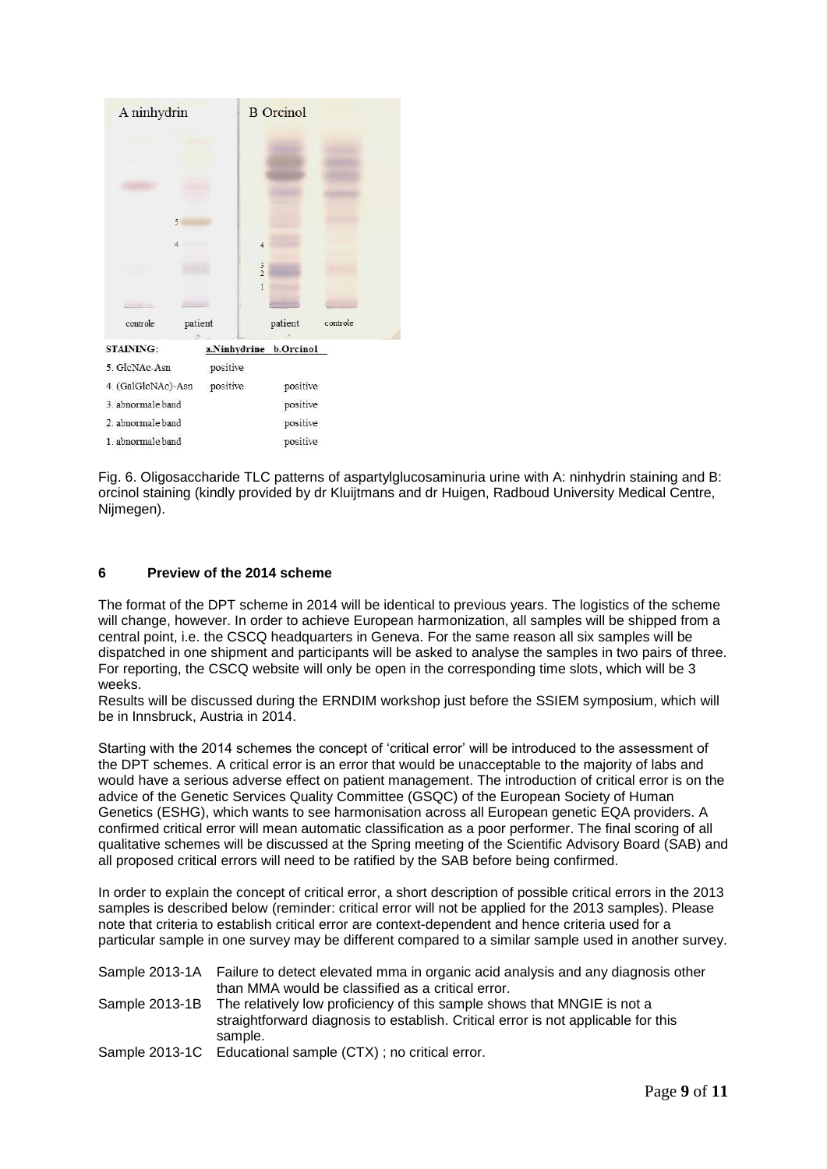| A ninhydrin                 |          |               | <b>B</b> Orcinol       |          |
|-----------------------------|----------|---------------|------------------------|----------|
|                             |          |               |                        |          |
|                             |          |               |                        |          |
|                             |          |               |                        |          |
| 5                           |          |               |                        |          |
| 4                           |          | 4             |                        |          |
|                             |          | $\frac{3}{2}$ |                        |          |
|                             |          |               |                        |          |
|                             |          |               |                        |          |
| controle                    | patient  |               | patient                | controle |
| <b>STAINING:</b>            |          |               | a.Ninhydrine b.Orcinol |          |
| 5. GlcNAc-Asn               | positive |               |                        |          |
| 4. (GalGlcNAc)-Asn positive |          |               | positive               |          |
| 3. abnormale band           |          |               | positive               |          |
| 2. abnormale band           |          |               | positive               |          |
| 1. abnormale band           |          |               | positive               |          |

Fig. 6. Oligosaccharide TLC patterns of aspartylglucosaminuria urine with A: ninhydrin staining and B: orcinol staining (kindly provided by dr Kluijtmans and dr Huigen, Radboud University Medical Centre, Nijmegen).

### **6 Preview of the 2014 scheme**

The format of the DPT scheme in 2014 will be identical to previous years. The logistics of the scheme will change, however. In order to achieve European harmonization, all samples will be shipped from a central point, i.e. the CSCQ headquarters in Geneva. For the same reason all six samples will be dispatched in one shipment and participants will be asked to analyse the samples in two pairs of three. For reporting, the CSCQ website will only be open in the corresponding time slots, which will be 3 weeks.

Results will be discussed during the ERNDIM workshop just before the SSIEM symposium, which will be in Innsbruck, Austria in 2014.

Starting with the 2014 schemes the concept of 'critical error' will be introduced to the assessment of the DPT schemes. A critical error is an error that would be unacceptable to the majority of labs and would have a serious adverse effect on patient management. The introduction of critical error is on the advice of the Genetic Services Quality Committee (GSQC) of the European Society of Human Genetics (ESHG), which wants to see harmonisation across all European genetic EQA providers. A confirmed critical error will mean automatic classification as a poor performer. The final scoring of all qualitative schemes will be discussed at the Spring meeting of the Scientific Advisory Board (SAB) and all proposed critical errors will need to be ratified by the SAB before being confirmed.

In order to explain the concept of critical error, a short description of possible critical errors in the 2013 samples is described below (reminder: critical error will not be applied for the 2013 samples). Please note that criteria to establish critical error are context-dependent and hence criteria used for a particular sample in one survey may be different compared to a similar sample used in another survey.

| Sample 2013-1A Failure to detect elevated mma in organic acid analysis and any diagnosis other<br>than MMA would be classified as a critical error.                                    |
|----------------------------------------------------------------------------------------------------------------------------------------------------------------------------------------|
| Sample 2013-1B The relatively low proficiency of this sample shows that MNGIE is not a<br>straightforward diagnosis to establish. Critical error is not applicable for this<br>sample. |
| Sample 2013-1C Educational sample (CTX); no critical error.                                                                                                                            |

Page **9** of **11**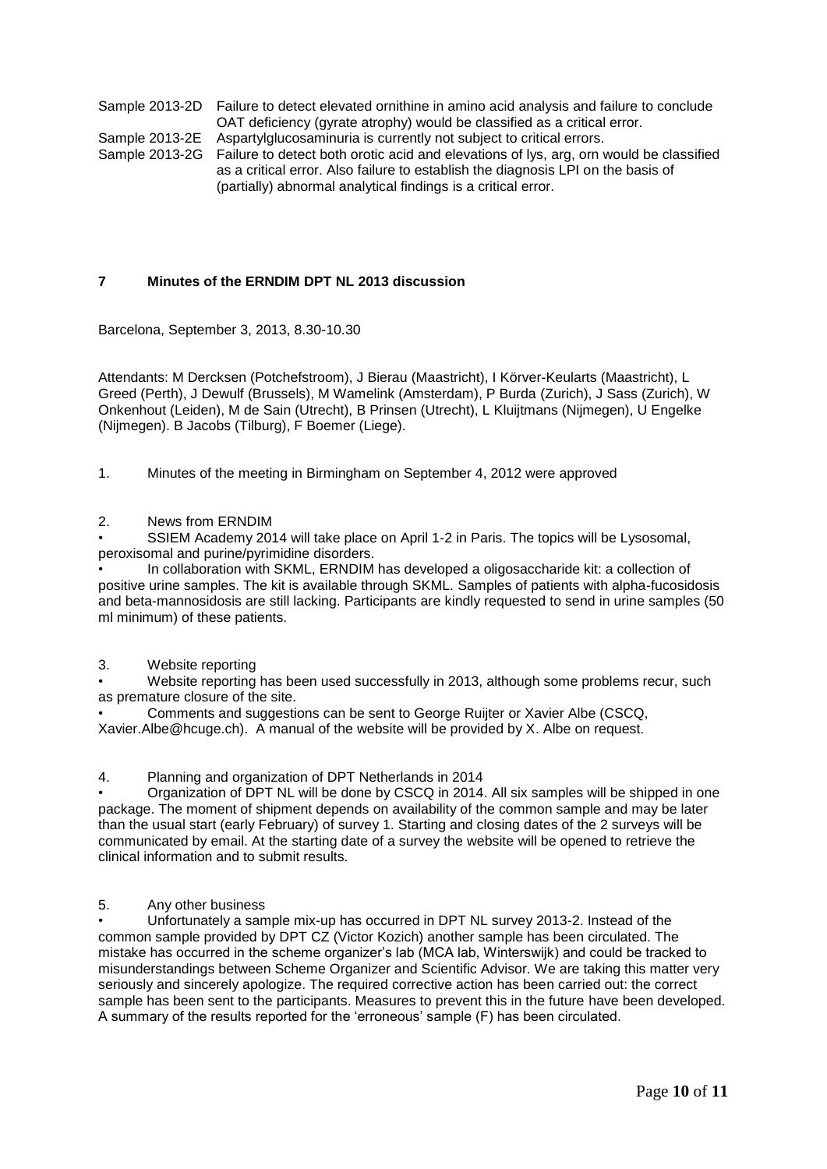Sample 2013-2D Failure to detect elevated ornithine in amino acid analysis and failure to conclude OAT deficiency (gyrate atrophy) would be classified as a critical error. Sample 2013-2E Aspartylglucosaminuria is currently not subject to critical errors.

Sample 2013-2G Failure to detect both orotic acid and elevations of lys, arg, orn would be classified as a critical error. Also failure to establish the diagnosis LPI on the basis of (partially) abnormal analytical findings is a critical error.

### **7 Minutes of the ERNDIM DPT NL 2013 discussion**

Barcelona, September 3, 2013, 8.30-10.30

Attendants: M Dercksen (Potchefstroom), J Bierau (Maastricht), I Körver-Keularts (Maastricht), L Greed (Perth), J Dewulf (Brussels), M Wamelink (Amsterdam), P Burda (Zurich), J Sass (Zurich), W Onkenhout (Leiden), M de Sain (Utrecht), B Prinsen (Utrecht), L Kluijtmans (Nijmegen), U Engelke (Nijmegen). B Jacobs (Tilburg), F Boemer (Liege).

1. Minutes of the meeting in Birmingham on September 4, 2012 were approved

### 2. News from ERNDIM

• SSIEM Academy 2014 will take place on April 1-2 in Paris. The topics will be Lysosomal, peroxisomal and purine/pyrimidine disorders.

• In collaboration with SKML, ERNDIM has developed a oligosaccharide kit: a collection of positive urine samples. The kit is available through SKML. Samples of patients with alpha-fucosidosis and beta-mannosidosis are still lacking. Participants are kindly requested to send in urine samples (50 ml minimum) of these patients.

### 3. Website reporting

• Website reporting has been used successfully in 2013, although some problems recur, such as premature closure of the site.

• Comments and suggestions can be sent to George Ruijter or Xavier Albe (CSCQ, Xavier.Albe@hcuge.ch). A manual of the website will be provided by X. Albe on request.

4. Planning and organization of DPT Netherlands in 2014

• Organization of DPT NL will be done by CSCQ in 2014. All six samples will be shipped in one package. The moment of shipment depends on availability of the common sample and may be later than the usual start (early February) of survey 1. Starting and closing dates of the 2 surveys will be communicated by email. At the starting date of a survey the website will be opened to retrieve the clinical information and to submit results.

### 5. Any other business

• Unfortunately a sample mix-up has occurred in DPT NL survey 2013-2. Instead of the common sample provided by DPT CZ (Victor Kozich) another sample has been circulated. The mistake has occurred in the scheme organizer's lab (MCA lab, Winterswijk) and could be tracked to misunderstandings between Scheme Organizer and Scientific Advisor. We are taking this matter very seriously and sincerely apologize. The required corrective action has been carried out: the correct sample has been sent to the participants. Measures to prevent this in the future have been developed. A summary of the results reported for the 'erroneous' sample (F) has been circulated.